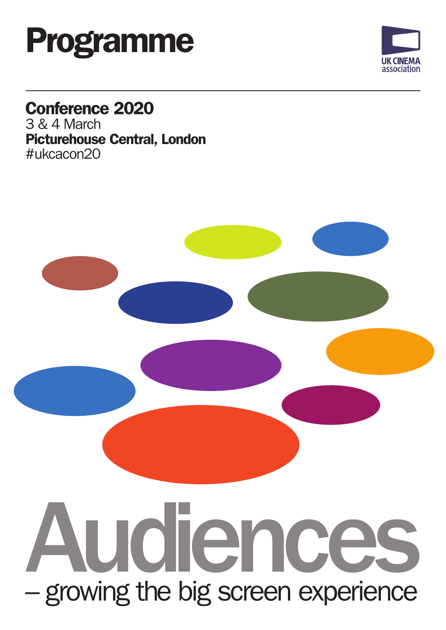



## Conference 2020

3 & 4 March Picturehouse Central, London #ukcacon20



# – growing the big screen experience Audiences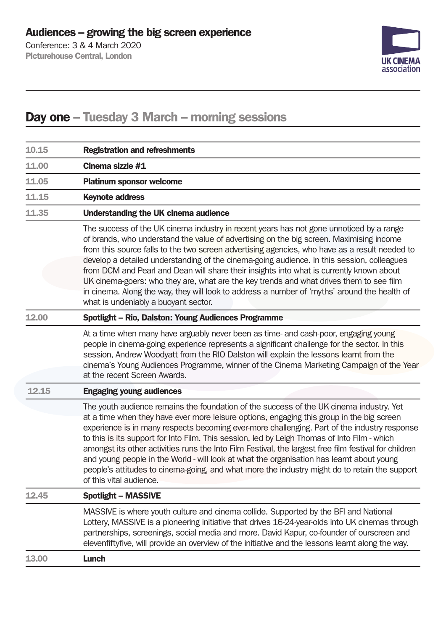Conference: 3 & 4 March 2020 Picturehouse Central, London



### Day one – Tuesday 3 March – morning sessions

| Cinema sizzle #1<br><b>Platinum sponsor welcome</b><br><b>Keynote address</b>                                                                                                                                                                                                                                                                                                                                                                                                                                                                                                                                                                                                                                          |
|------------------------------------------------------------------------------------------------------------------------------------------------------------------------------------------------------------------------------------------------------------------------------------------------------------------------------------------------------------------------------------------------------------------------------------------------------------------------------------------------------------------------------------------------------------------------------------------------------------------------------------------------------------------------------------------------------------------------|
|                                                                                                                                                                                                                                                                                                                                                                                                                                                                                                                                                                                                                                                                                                                        |
|                                                                                                                                                                                                                                                                                                                                                                                                                                                                                                                                                                                                                                                                                                                        |
|                                                                                                                                                                                                                                                                                                                                                                                                                                                                                                                                                                                                                                                                                                                        |
| <b>Understanding the UK cinema audience</b>                                                                                                                                                                                                                                                                                                                                                                                                                                                                                                                                                                                                                                                                            |
| The success of the UK cinema industry in recent years has not gone unnoticed by a range<br>of brands, who understand the value of advertising on the big screen. Maximising income<br>from this source falls to the two screen advertising agencies, who have as a result needed to<br>develop a detailed understanding of the cinema-going audience. In this session, colleagues<br>from DCM and Pearl and Dean will share their insights into what is currently known about<br>UK cinema-goers: who they are, what are the key trends and what drives them to see film<br>in cinema. Along the way, they will look to address a number of 'myths' around the health of<br>what is undeniably a buoyant sector.       |
| <b>Spotlight - Rio, Dalston: Young Audiences Programme</b>                                                                                                                                                                                                                                                                                                                                                                                                                                                                                                                                                                                                                                                             |
| At a time when many have arguably never been as time- and cash-poor, engaging young<br>people in cinema-going experience represents a significant challenge for the sector. In this<br>session, Andrew Woodyatt from the RIO Dalston will explain the lessons learnt from the<br>cinema's Young Audiences Programme, winner of the Cinema Marketing Campaign of the Year<br>at the recent Screen Awards.                                                                                                                                                                                                                                                                                                               |
| <b>Engaging young audiences</b>                                                                                                                                                                                                                                                                                                                                                                                                                                                                                                                                                                                                                                                                                        |
| The youth audience remains the foundation of the success of the UK cinema industry. Yet<br>at a time when they have ever more leisure options, engaging this group in the big screen<br>experience is in many respects becoming ever-more challenging. Part of the industry response<br>to this is its support for Into Film. This session, led by Leigh Thomas of Into Film - which<br>amongst its other activities runs the Into Film Festival, the largest free film festival for children<br>and young people in the World - will look at what the organisation has learnt about young<br>people's attitudes to cinema-going, and what more the industry might do to retain the support<br>of this vital audience. |
| <b>Spotlight - MASSIVE</b>                                                                                                                                                                                                                                                                                                                                                                                                                                                                                                                                                                                                                                                                                             |
| MASSIVE is where youth culture and cinema collide. Supported by the BFI and National<br>Lottery, MASSIVE is a pioneering initiative that drives 16-24-year-olds into UK cinemas through<br>partnerships, screenings, social media and more. David Kapur, co-founder of ourscreen and<br>elevenfiftyfive, will provide an overview of the initiative and the lessons learnt along the way.                                                                                                                                                                                                                                                                                                                              |
| Lunch                                                                                                                                                                                                                                                                                                                                                                                                                                                                                                                                                                                                                                                                                                                  |
|                                                                                                                                                                                                                                                                                                                                                                                                                                                                                                                                                                                                                                                                                                                        |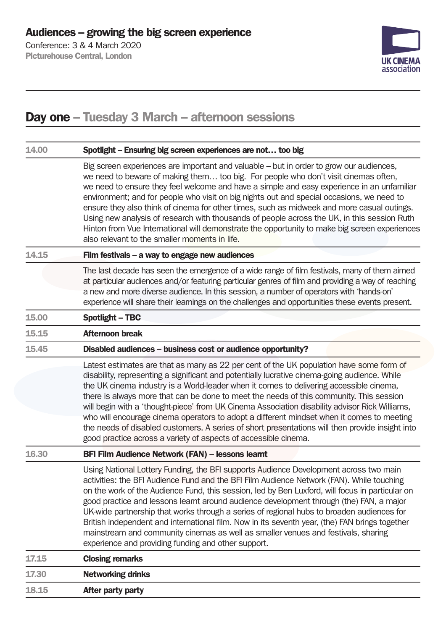Picturehouse Central, London



### Day one – Tuesday 3 March – afternoon sessions

| 14.00 | Spotlight - Ensuring big screen experiences are not too big                                                                                                                                                                                                                                                                                                                                                                                                                                                                                                                                                                                                                                                                                         |
|-------|-----------------------------------------------------------------------------------------------------------------------------------------------------------------------------------------------------------------------------------------------------------------------------------------------------------------------------------------------------------------------------------------------------------------------------------------------------------------------------------------------------------------------------------------------------------------------------------------------------------------------------------------------------------------------------------------------------------------------------------------------------|
|       | Big screen experiences are important and valuable – but in order to grow our audiences,<br>we need to beware of making them too big. For people who don't visit cinemas often,<br>we need to ensure they feel welcome and have a simple and easy experience in an unfamiliar<br>environment; and for people who visit on big nights out and special occasions, we need to<br>ensure they also think of cinema for other times, such as midweek and more casual outings.<br>Using new analysis of research with thousands of people across the UK, in this session Ruth<br>Hinton from Vue International will demonstrate the opportunity to make big screen experiences<br>also relevant to the smaller moments in life.                            |
| 14.15 | Film festivals - a way to engage new audiences                                                                                                                                                                                                                                                                                                                                                                                                                                                                                                                                                                                                                                                                                                      |
|       | The last decade has seen the emergence of a wide range of film festivals, many of them aimed<br>at particular audiences and/or featuring particular genres of film and providing a way of reaching<br>a new and more diverse audience. In this session, a number of operators with 'hands-on'<br>experience will share their learnings on the challenges and opportunities these events present.                                                                                                                                                                                                                                                                                                                                                    |
| 15.00 | <b>Spotlight - TBC</b>                                                                                                                                                                                                                                                                                                                                                                                                                                                                                                                                                                                                                                                                                                                              |
| 15.15 | <b>Afternoon break</b>                                                                                                                                                                                                                                                                                                                                                                                                                                                                                                                                                                                                                                                                                                                              |
| 15.45 | Disabled audiences - business cost or audience opportunity?                                                                                                                                                                                                                                                                                                                                                                                                                                                                                                                                                                                                                                                                                         |
|       | Latest estimates are that as many as 22 per cent of the UK population have some form of<br>disability, representing a significant and potentially lucrative cinema-going audience. While<br>the UK cinema industry is a World-leader when it comes to delivering accessible cinema,<br>there is always more that can be done to meet the needs of this community. This session<br>will begin with a 'thought-piece' from UK Cinema Association disability advisor Rick Williams,<br>who will encourage cinema operators to adopt a different mindset when it comes to meeting<br>the needs of disabled customers. A series of short presentations will then provide insight into<br>good practice across a variety of aspects of accessible cinema. |
| 16.30 | BFI Film Audience Network (FAN) - lessons learnt                                                                                                                                                                                                                                                                                                                                                                                                                                                                                                                                                                                                                                                                                                    |
|       | Using National Lottery Funding, the BFI supports Audience Development across two main<br>activities: the BFI Audience Fund and the BFI Film Audience Network (FAN). While touching<br>on the work of the Audience Fund, this session, led by Ben Luxford, will focus in particular on<br>good practice and lessons learnt around audience development through (the) FAN, a major<br>UK-wide partnership that works through a series of regional hubs to broaden audiences for<br>British independent and international film. Now in its seventh year, (the) FAN brings together<br>mainstream and community cinemas as well as smaller venues and festivals, sharing<br>experience and providing funding and other support.                         |
| 17.15 | <b>Closing remarks</b>                                                                                                                                                                                                                                                                                                                                                                                                                                                                                                                                                                                                                                                                                                                              |
| 17.30 | <b>Networking drinks</b>                                                                                                                                                                                                                                                                                                                                                                                                                                                                                                                                                                                                                                                                                                                            |
| 18.15 | After party party                                                                                                                                                                                                                                                                                                                                                                                                                                                                                                                                                                                                                                                                                                                                   |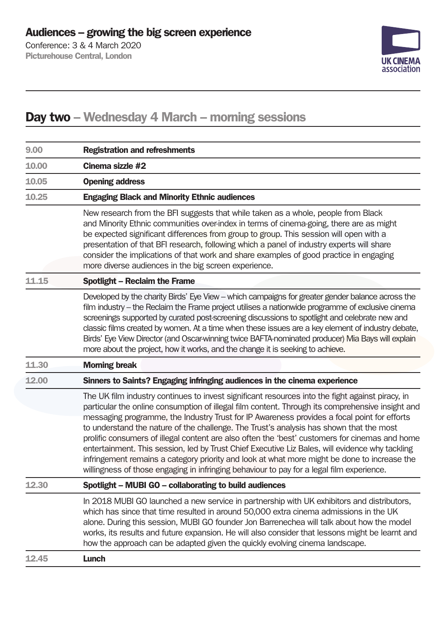Conference: 3 & 4 March 2020 Picturehouse Central, London



### Day two – Wednesday 4 March – morning sessions

| 9.00  | <b>Registration and refreshments</b>                                                                                                                                                                                                                                                                                                                                                                                                                                                                                                                                                                                                                                                                                                                                                             |
|-------|--------------------------------------------------------------------------------------------------------------------------------------------------------------------------------------------------------------------------------------------------------------------------------------------------------------------------------------------------------------------------------------------------------------------------------------------------------------------------------------------------------------------------------------------------------------------------------------------------------------------------------------------------------------------------------------------------------------------------------------------------------------------------------------------------|
| 10.00 | Cinema sizzle #2                                                                                                                                                                                                                                                                                                                                                                                                                                                                                                                                                                                                                                                                                                                                                                                 |
| 10.05 | <b>Opening address</b>                                                                                                                                                                                                                                                                                                                                                                                                                                                                                                                                                                                                                                                                                                                                                                           |
| 10.25 | <b>Engaging Black and Minority Ethnic audiences</b>                                                                                                                                                                                                                                                                                                                                                                                                                                                                                                                                                                                                                                                                                                                                              |
|       | New research from the BFI suggests that while taken as a whole, people from Black<br>and Minority Ethnic communities over-index in terms of cinema-going, there are as might<br>be expected significant differences from group to group. This session will open with a<br>presentation of that BFI research, following which a panel of industry experts will share<br>consider the implications of that work and share examples of good practice in engaging<br>more diverse audiences in the big screen experience.                                                                                                                                                                                                                                                                            |
| 11.15 | <b>Spotlight - Reclaim the Frame</b>                                                                                                                                                                                                                                                                                                                                                                                                                                                                                                                                                                                                                                                                                                                                                             |
|       | Developed by the charity Birds' Eye View – which campaigns for greater gender balance across the<br>film industry – the Reclaim the Frame project utilises a nationwide programme of exclusive cinema<br>screenings supported by curated post-screening discussions to spotlight and celebrate new and<br>classic films created by women. At a time when these issues are a key element of industry debate,<br>Birds' Eye View Director (and Oscar-winning twice BAFTA-nominated producer) Mia Bays will explain<br>more about the project, how it works, and the change it is seeking to achieve.                                                                                                                                                                                               |
| 11.30 | <b>Morning break</b>                                                                                                                                                                                                                                                                                                                                                                                                                                                                                                                                                                                                                                                                                                                                                                             |
| 12.00 | Sinners to Saints? Engaging infringing audiences in the cinema experience                                                                                                                                                                                                                                                                                                                                                                                                                                                                                                                                                                                                                                                                                                                        |
|       | The UK film industry continues to invest significant resources into the fight against piracy, in<br>particular the online consumption of illegal film content. Through its comprehensive insight and<br>messaging programme, the Industry Trust for IP Awareness provides a focal point for efforts<br>to understand the nature of the challenge. The Trust's analysis has shown that the most<br>prolific consumers of illegal content are also often the 'best' customers for cinemas and home<br>entertainment. This session, led by Trust Chief Executive Liz Bales, will evidence why tackling<br>infringement remains a category priority and look at what more might be done to increase the<br>willingness of those engaging in infringing behaviour to pay for a legal film experience. |
| 12.30 | Spotlight - MUBI GO - collaborating to build audiences                                                                                                                                                                                                                                                                                                                                                                                                                                                                                                                                                                                                                                                                                                                                           |
|       | In 2018 MUBI GO launched a new service in partnership with UK exhibitors and distributors,<br>which has since that time resulted in around 50,000 extra cinema admissions in the UK<br>alone. During this session, MUBI GO founder Jon Barrenechea will talk about how the model<br>works, its results and future expansion. He will also consider that lessons might be learnt and<br>how the approach can be adapted given the quickly evolving cinema landscape.                                                                                                                                                                                                                                                                                                                              |
| 12.45 | <b>Lunch</b>                                                                                                                                                                                                                                                                                                                                                                                                                                                                                                                                                                                                                                                                                                                                                                                     |